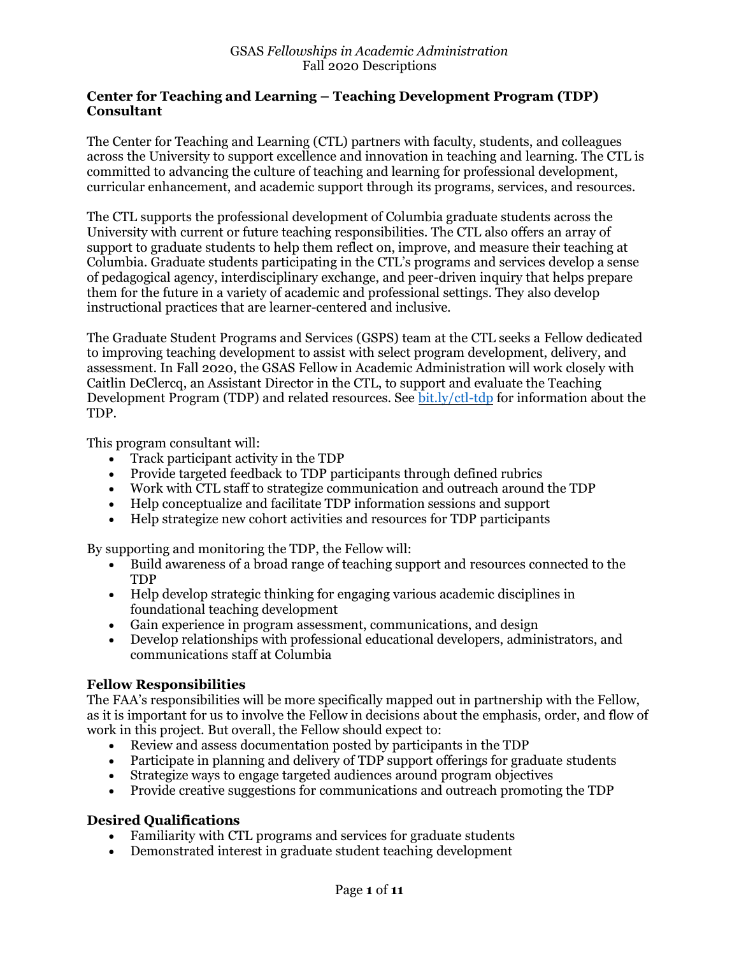### **Center for Teaching and Learning – Teaching Development Program (TDP) Consultant**

The Center for Teaching and Learning (CTL) partners with faculty, students, and colleagues across the University to support excellence and innovation in teaching and learning. The CTL is committed to advancing the culture of teaching and learning for professional development, curricular enhancement, and academic support through its programs, services, and resources.

The CTL supports the professional development of Columbia graduate students across the University with current or future teaching responsibilities. The CTL also offers an array of support to graduate students to help them reflect on, improve, and measure their teaching at Columbia. Graduate students participating in the CTL's programs and services develop a sense of pedagogical agency, interdisciplinary exchange, and peer-driven inquiry that helps prepare them for the future in a variety of academic and professional settings. They also develop instructional practices that are learner-centered and inclusive.

The Graduate Student Programs and Services (GSPS) team at the CTL seeks a Fellow dedicated to improving teaching development to assist with select program development, delivery, and assessment. In Fall 2020, the GSAS Fellow in Academic Administration will work closely with Caitlin DeClercq, an Assistant Director in the CTL, to support and evaluate the Teaching Development Program (TDP) and related resources. See [bit.ly/ctl-tdp](http://bit.ly/ctl-tdp) for information about the TDP.

This program consultant will:

- Track participant activity in the TDP
- Provide targeted feedback to TDP participants through defined rubrics
- Work with CTL staff to strategize communication and outreach around the TDP
- Help conceptualize and facilitate TDP information sessions and support
- Help strategize new cohort activities and resources for TDP participants

By supporting and monitoring the TDP, the Fellow will:

- Build awareness of a broad range of teaching support and resources connected to the TDP
- Help develop strategic thinking for engaging various academic disciplines in foundational teaching development
- Gain experience in program assessment, communications, and design
- Develop relationships with professional educational developers, administrators, and communications staff at Columbia

### **Fellow Responsibilities**

The FAA's responsibilities will be more specifically mapped out in partnership with the Fellow, as it is important for us to involve the Fellow in decisions about the emphasis, order, and flow of work in this project. But overall, the Fellow should expect to:

- Review and assess documentation posted by participants in the TDP
- Participate in planning and delivery of TDP support offerings for graduate students
- Strategize ways to engage targeted audiences around program objectives
- Provide creative suggestions for communications and outreach promoting the TDP

### **Desired Qualifications**

- Familiarity with CTL programs and services for graduate students
- Demonstrated interest in graduate student teaching development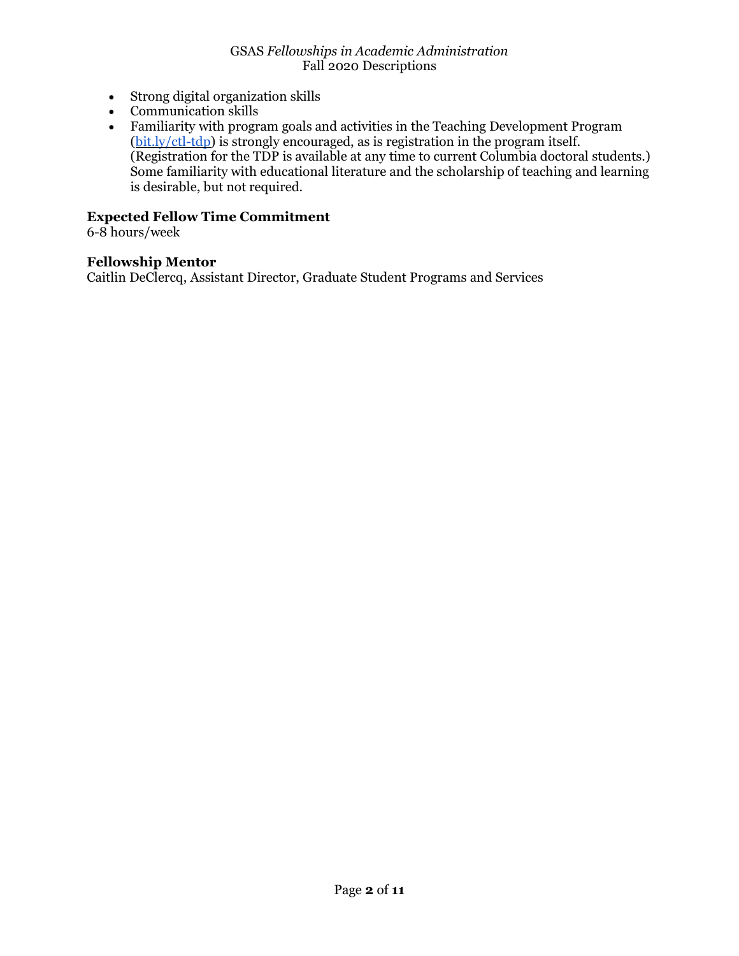- Strong digital organization skills
- Communication skills
- Familiarity with program goals and activities in the Teaching Development Program [\(bit.ly/ctl-tdp\)](http://bit.ly/ctl-tdp) is strongly encouraged, as is registration in the program itself. (Registration for the TDP is available at any time to current Columbia doctoral students.) Some familiarity with educational literature and the scholarship of teaching and learning is desirable, but not required.

### **Expected Fellow Time Commitment**

6-8 hours/week

### **Fellowship Mentor**

Caitlin DeClercq, Assistant Director, Graduate Student Programs and Services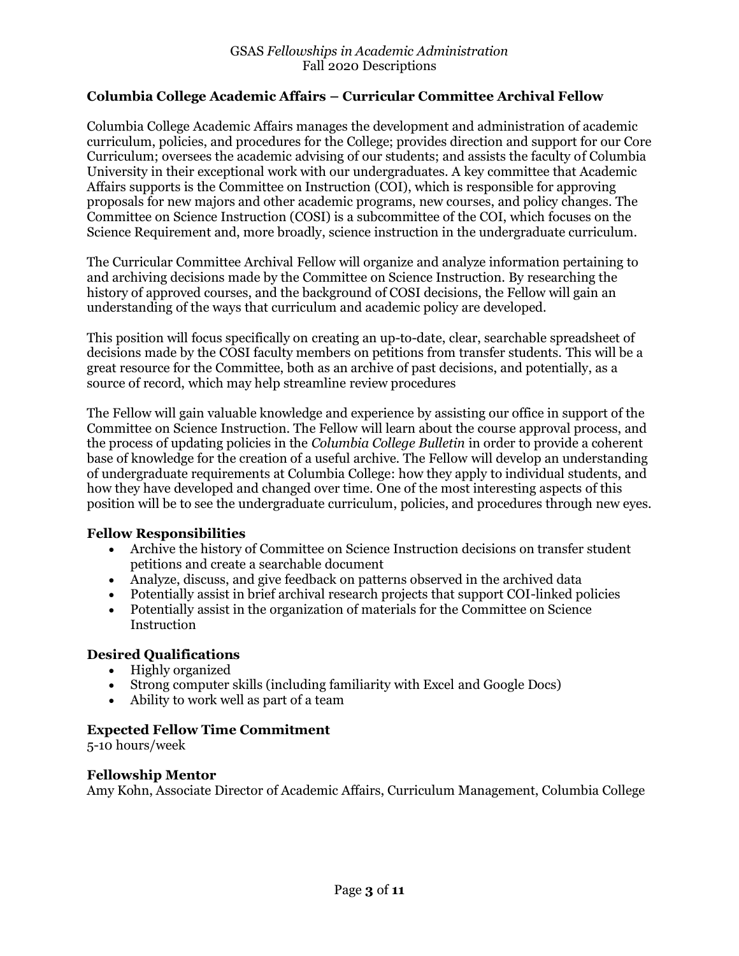### **Columbia College Academic Affairs – Curricular Committee Archival Fellow**

Columbia College Academic Affairs manages the development and administration of academic curriculum, policies, and procedures for the College; provides direction and support for our Core Curriculum; oversees the academic advising of our students; and assists the faculty of Columbia University in their exceptional work with our undergraduates. A key committee that Academic Affairs supports is the Committee on Instruction (COI), which is responsible for approving proposals for new majors and other academic programs, new courses, and policy changes. The Committee on Science Instruction (COSI) is a subcommittee of the COI, which focuses on the Science Requirement and, more broadly, science instruction in the undergraduate curriculum.

The Curricular Committee Archival Fellow will organize and analyze information pertaining to and archiving decisions made by the Committee on Science Instruction. By researching the history of approved courses, and the background of COSI decisions, the Fellow will gain an understanding of the ways that curriculum and academic policy are developed.

This position will focus specifically on creating an up-to-date, clear, searchable spreadsheet of decisions made by the COSI faculty members on petitions from transfer students. This will be a great resource for the Committee, both as an archive of past decisions, and potentially, as a source of record, which may help streamline review procedures

The Fellow will gain valuable knowledge and experience by assisting our office in support of the Committee on Science Instruction. The Fellow will learn about the course approval process, and the process of updating policies in the *Columbia College Bulletin* in order to provide a coherent base of knowledge for the creation of a useful archive. The Fellow will develop an understanding of undergraduate requirements at Columbia College: how they apply to individual students, and how they have developed and changed over time. One of the most interesting aspects of this position will be to see the undergraduate curriculum, policies, and procedures through new eyes.

### **Fellow Responsibilities**

- Archive the history of Committee on Science Instruction decisions on transfer student petitions and create a searchable document
- Analyze, discuss, and give feedback on patterns observed in the archived data
- Potentially assist in brief archival research projects that support COI-linked policies
- Potentially assist in the organization of materials for the Committee on Science Instruction

### **Desired Qualifications**

- Highly organized
- Strong computer skills (including familiarity with Excel and Google Docs)
- Ability to work well as part of a team

### **Expected Fellow Time Commitment**

5-10 hours/week

#### **Fellowship Mentor**

Amy Kohn, Associate Director of Academic Affairs, Curriculum Management, Columbia College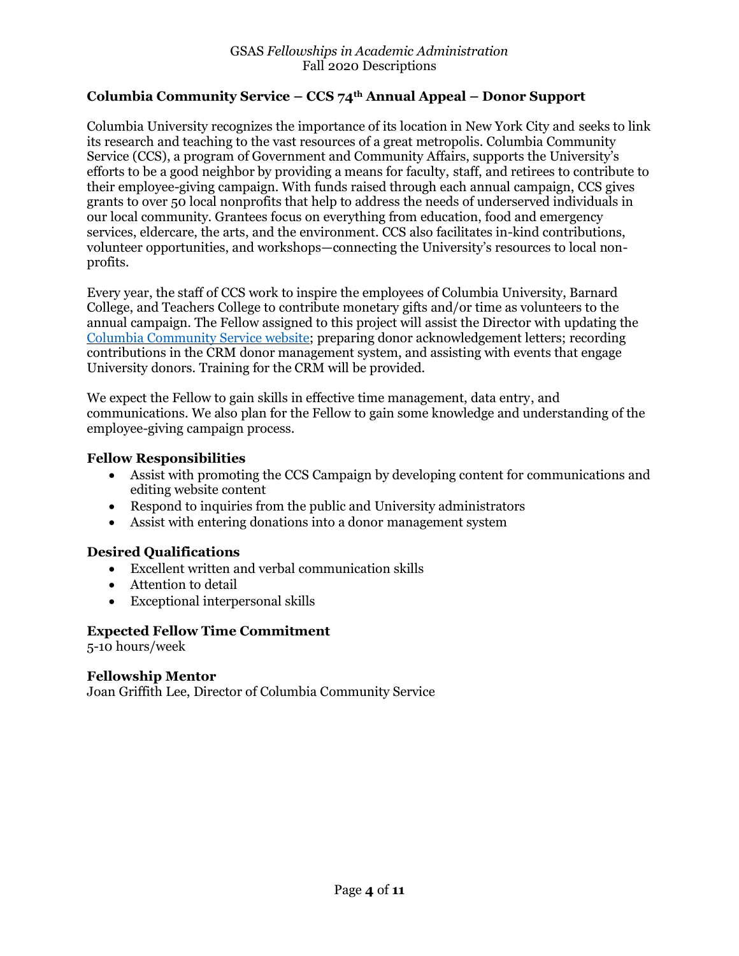# **Columbia Community Service – CCS 74th Annual Appeal – Donor Support**

Columbia University recognizes the importance of its location in New York City and seeks to link its research and teaching to the vast resources of a great metropolis. Columbia Community Service (CCS), a program of Government and Community Affairs, supports the University's efforts to be a good neighbor by providing a means for faculty, staff, and retirees to contribute to their employee-giving campaign. With funds raised through each annual campaign, CCS gives grants to over 50 local nonprofits that help to address the needs of underserved individuals in our local community. Grantees focus on everything from education, food and emergency services, eldercare, the arts, and the environment. CCS also facilitates in-kind contributions, volunteer opportunities, and workshops—connecting the University's resources to local nonprofits.

Every year, the staff of CCS work to inspire the employees of Columbia University, Barnard College, and Teachers College to contribute monetary gifts and/or time as volunteers to the annual campaign. The Fellow assigned to this project will assist the Director with updating the [Columbia Community Service website;](https://communityservice.columbia.edu/) preparing donor acknowledgement letters; recording contributions in the CRM donor management system, and assisting with events that engage University donors. Training for the CRM will be provided.

We expect the Fellow to gain skills in effective time management, data entry, and communications. We also plan for the Fellow to gain some knowledge and understanding of the employee-giving campaign process.

### **Fellow Responsibilities**

- Assist with promoting the CCS Campaign by developing content for communications and editing website content
- Respond to inquiries from the public and University administrators
- Assist with entering donations into a donor management system

### **Desired Qualifications**

- Excellent written and verbal communication skills
- Attention to detail
- Exceptional interpersonal skills

### **Expected Fellow Time Commitment**

5-10 hours/week

### **Fellowship Mentor**

Joan Griffith Lee, Director of Columbia Community Service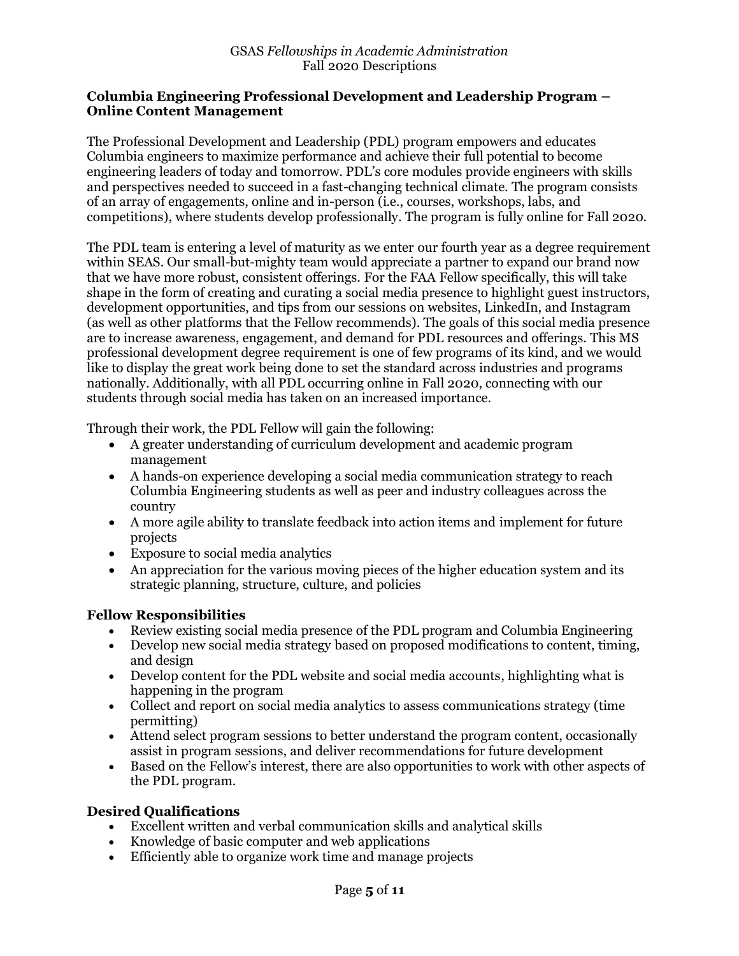### **Columbia Engineering Professional Development and Leadership Program – Online Content Management**

The Professional Development and Leadership (PDL) program empowers and educates Columbia engineers to maximize performance and achieve their full potential to become engineering leaders of today and tomorrow. PDL's core modules provide engineers with skills and perspectives needed to succeed in a fast-changing technical climate. The program consists of an array of engagements, online and in-person (i.e., courses, workshops, labs, and competitions), where students develop professionally. The program is fully online for Fall 2020.

The PDL team is entering a level of maturity as we enter our fourth year as a degree requirement within SEAS. Our small-but-mighty team would appreciate a partner to expand our brand now that we have more robust, consistent offerings. For the FAA Fellow specifically, this will take shape in the form of creating and curating a social media presence to highlight guest instructors, development opportunities, and tips from our sessions on websites, LinkedIn, and Instagram (as well as other platforms that the Fellow recommends). The goals of this social media presence are to increase awareness, engagement, and demand for PDL resources and offerings. This MS professional development degree requirement is one of few programs of its kind, and we would like to display the great work being done to set the standard across industries and programs nationally. Additionally, with all PDL occurring online in Fall 2020, connecting with our students through social media has taken on an increased importance.

Through their work, the PDL Fellow will gain the following:

- A greater understanding of curriculum development and academic program management
- A hands-on experience developing a social media communication strategy to reach Columbia Engineering students as well as peer and industry colleagues across the country
- A more agile ability to translate feedback into action items and implement for future projects
- Exposure to social media analytics
- An appreciation for the various moving pieces of the higher education system and its strategic planning, structure, culture, and policies

### **Fellow Responsibilities**

- Review existing social media presence of the PDL program and Columbia Engineering
- Develop new social media strategy based on proposed modifications to content, timing, and design
- Develop content for the PDL website and social media accounts, highlighting what is happening in the program
- Collect and report on social media analytics to assess communications strategy (time permitting)
- Attend select program sessions to better understand the program content, occasionally assist in program sessions, and deliver recommendations for future development
- Based on the Fellow's interest, there are also opportunities to work with other aspects of the PDL program.

### **Desired Qualifications**

- Excellent written and verbal communication skills and analytical skills
- Knowledge of basic computer and web applications
- Efficiently able to organize work time and manage projects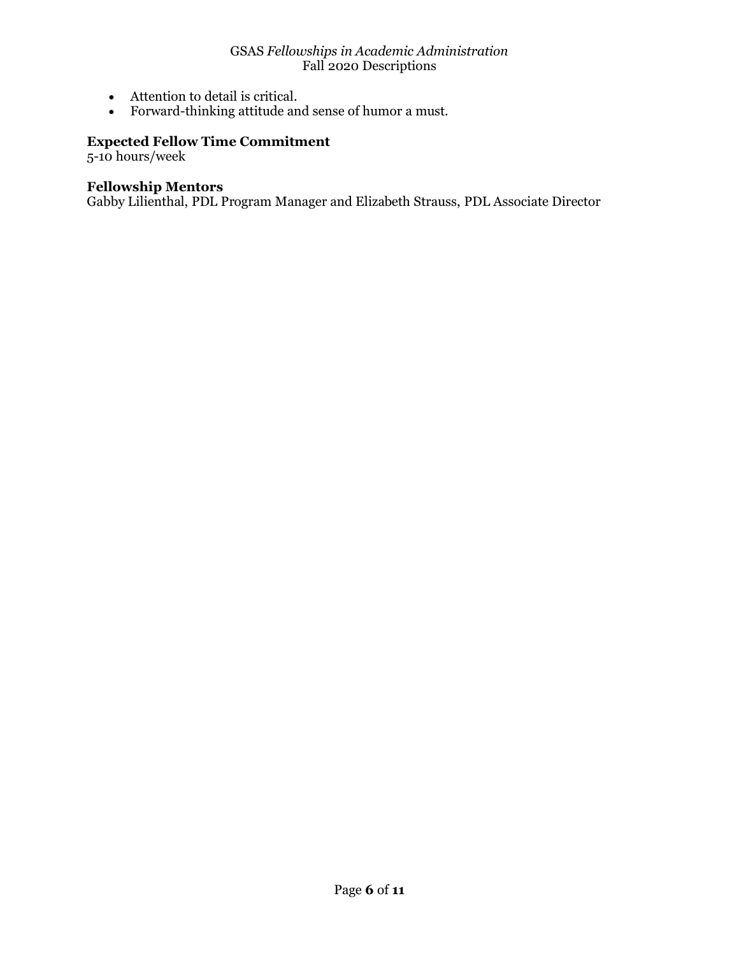- Attention to detail is critical.
- Forward-thinking attitude and sense of humor a must.

### **Expected Fellow Time Commitment**

5-10 hours/week

### **Fellowship Mentors**

Gabby Lilienthal, PDL Program Manager and Elizabeth Strauss, PDL Associate Director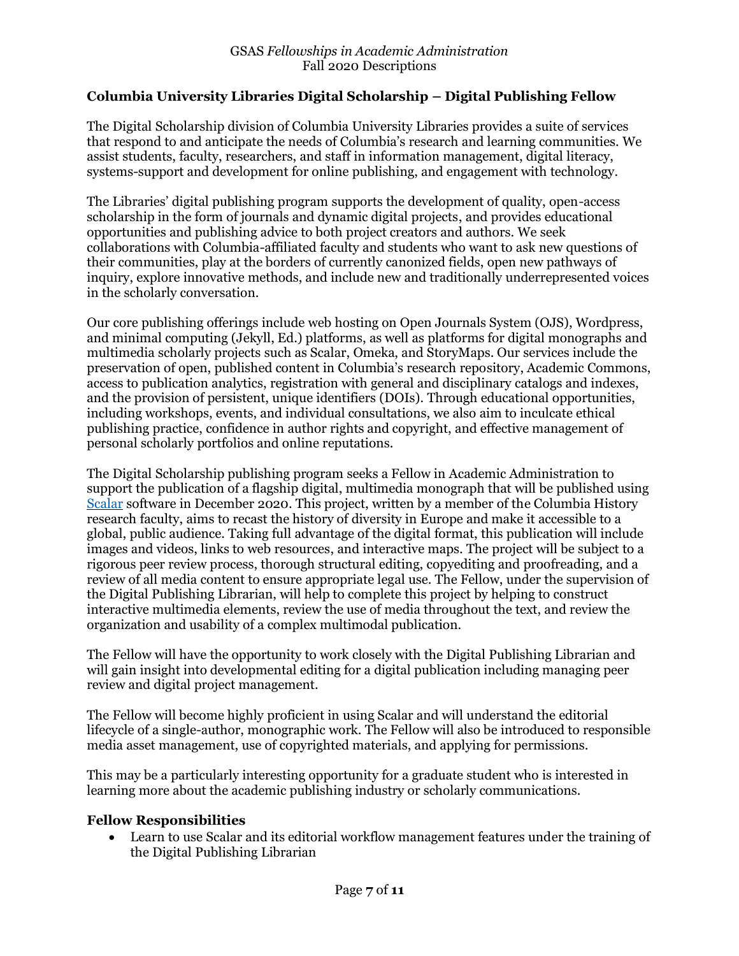# **Columbia University Libraries Digital Scholarship – Digital Publishing Fellow**

The Digital Scholarship division of Columbia University Libraries provides a suite of services that respond to and anticipate the needs of Columbia's research and learning communities. We assist students, faculty, researchers, and staff in information management, digital literacy, systems-support and development for online publishing, and engagement with technology.

The Libraries' digital publishing program supports the development of quality, open-access scholarship in the form of journals and dynamic digital projects, and provides educational opportunities and publishing advice to both project creators and authors. We seek collaborations with Columbia-affiliated faculty and students who want to ask new questions of their communities, play at the borders of currently canonized fields, open new pathways of inquiry, explore innovative methods, and include new and traditionally underrepresented voices in the scholarly conversation.

Our core publishing offerings include web hosting on Open Journals System (OJS), Wordpress, and minimal computing (Jekyll, Ed.) platforms, as well as platforms for digital monographs and multimedia scholarly projects such as Scalar, Omeka, and StoryMaps. Our services include the preservation of open, published content in Columbia's research repository, Academic Commons, access to publication analytics, registration with general and disciplinary catalogs and indexes, and the provision of persistent, unique identifiers (DOIs). Through educational opportunities, including workshops, events, and individual consultations, we also aim to inculcate ethical publishing practice, confidence in author rights and copyright, and effective management of personal scholarly portfolios and online reputations.

The Digital Scholarship publishing program seeks a Fellow in Academic Administration to support the publication of a flagship digital, multimedia monograph that will be published using [Scalar](https://scalar.me/anvc/scalar/) software in December 2020. This project, written by a member of the Columbia History research faculty, aims to recast the history of diversity in Europe and make it accessible to a global, public audience. Taking full advantage of the digital format, this publication will include images and videos, links to web resources, and interactive maps. The project will be subject to a rigorous peer review process, thorough structural editing, copyediting and proofreading, and a review of all media content to ensure appropriate legal use. The Fellow, under the supervision of the Digital Publishing Librarian, will help to complete this project by helping to construct interactive multimedia elements, review the use of media throughout the text, and review the organization and usability of a complex multimodal publication.

The Fellow will have the opportunity to work closely with the Digital Publishing Librarian and will gain insight into developmental editing for a digital publication including managing peer review and digital project management.

The Fellow will become highly proficient in using Scalar and will understand the editorial lifecycle of a single-author, monographic work. The Fellow will also be introduced to responsible media asset management, use of copyrighted materials, and applying for permissions.

This may be a particularly interesting opportunity for a graduate student who is interested in learning more about the academic publishing industry or scholarly communications.

### **Fellow Responsibilities**

• Learn to use Scalar and its editorial workflow management features under the training of the Digital Publishing Librarian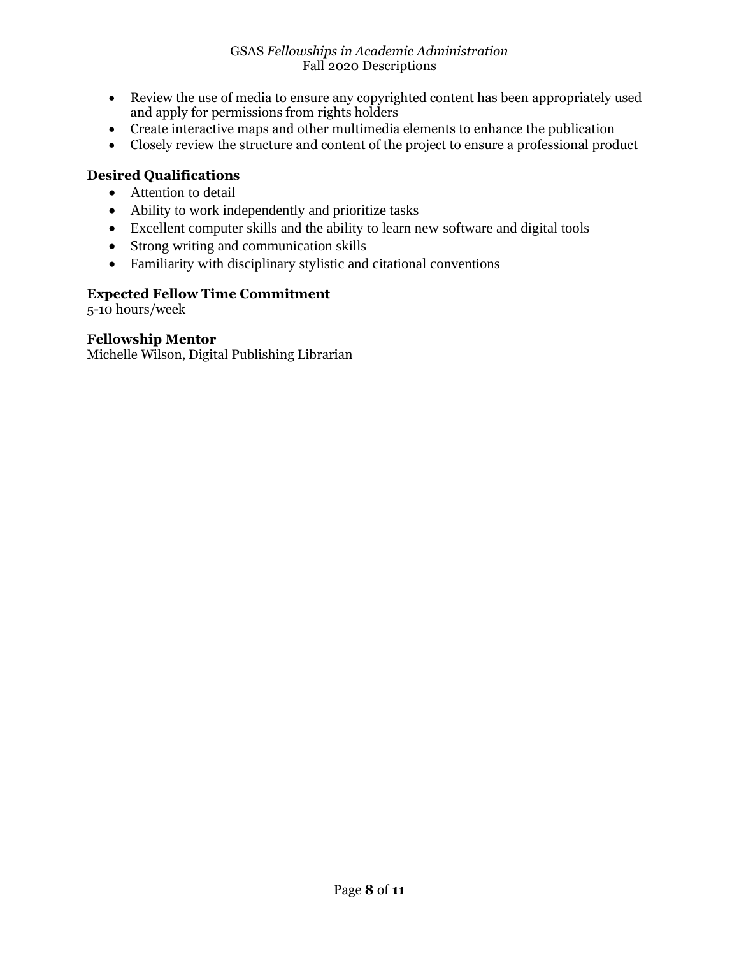- Review the use of media to ensure any copyrighted content has been appropriately used and apply for permissions from rights holders
- Create interactive maps and other multimedia elements to enhance the publication
- Closely review the structure and content of the project to ensure a professional product

### **Desired Qualifications**

- Attention to detail
- Ability to work independently and prioritize tasks
- Excellent computer skills and the ability to learn new software and digital tools
- Strong writing and communication skills
- Familiarity with disciplinary stylistic and citational conventions

# **Expected Fellow Time Commitment**

5-10 hours/week

### **Fellowship Mentor**

Michelle Wilson, Digital Publishing Librarian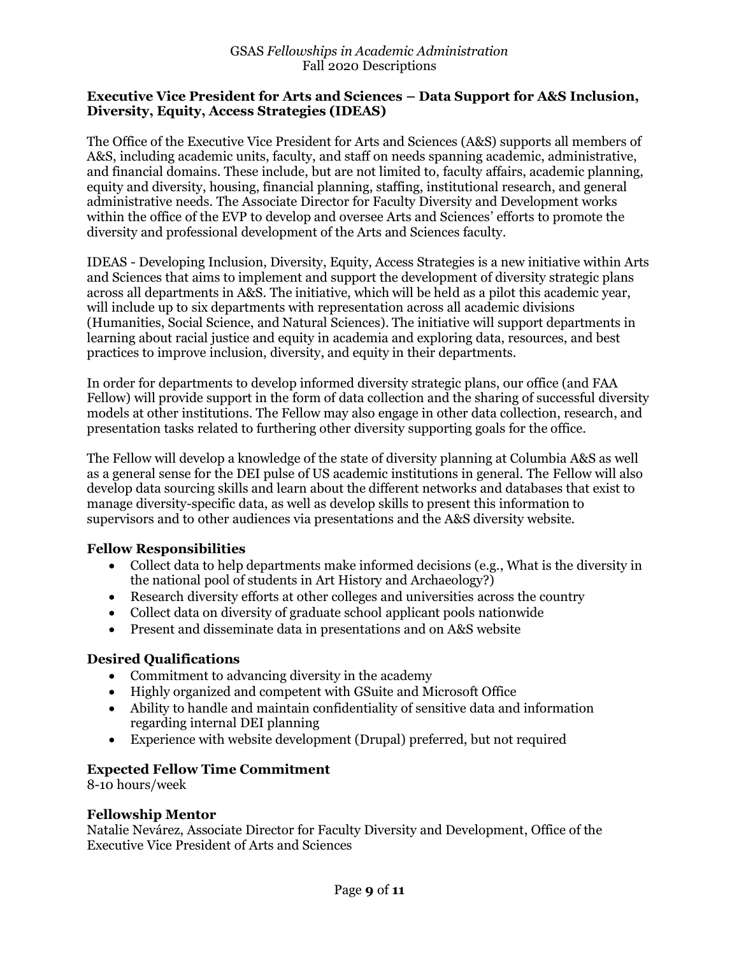#### **Executive Vice President for Arts and Sciences – Data Support for A&S Inclusion, Diversity, Equity, Access Strategies (IDEAS)**

The Office of the Executive Vice President for Arts and Sciences (A&S) supports all members of A&S, including academic units, faculty, and staff on needs spanning academic, administrative, and financial domains. These include, but are not limited to, faculty affairs, academic planning, equity and diversity, housing, financial planning, staffing, institutional research, and general administrative needs. The Associate Director for Faculty Diversity and Development works within the office of the EVP to develop and oversee Arts and Sciences' efforts to promote the diversity and professional development of the Arts and Sciences faculty.

IDEAS - Developing Inclusion, Diversity, Equity, Access Strategies is a new initiative within Arts and Sciences that aims to implement and support the development of diversity strategic plans across all departments in A&S. The initiative, which will be held as a pilot this academic year, will include up to six departments with representation across all academic divisions (Humanities, Social Science, and Natural Sciences). The initiative will support departments in learning about racial justice and equity in academia and exploring data, resources, and best practices to improve inclusion, diversity, and equity in their departments.

In order for departments to develop informed diversity strategic plans, our office (and FAA Fellow) will provide support in the form of data collection and the sharing of successful diversity models at other institutions. The Fellow may also engage in other data collection, research, and presentation tasks related to furthering other diversity supporting goals for the office.

The Fellow will develop a knowledge of the state of diversity planning at Columbia A&S as well as a general sense for the DEI pulse of US academic institutions in general. The Fellow will also develop data sourcing skills and learn about the different networks and databases that exist to manage diversity-specific data, as well as develop skills to present this information to supervisors and to other audiences via presentations and the A&S diversity website.

### **Fellow Responsibilities**

- Collect data to help departments make informed decisions (e.g., What is the diversity in the national pool of students in Art History and Archaeology?)
- Research diversity efforts at other colleges and universities across the country
- Collect data on diversity of graduate school applicant pools nationwide
- Present and disseminate data in presentations and on A&S website

### **Desired Qualifications**

- Commitment to advancing diversity in the academy
- Highly organized and competent with GSuite and Microsoft Office
- Ability to handle and maintain confidentiality of sensitive data and information regarding internal DEI planning
- Experience with website development (Drupal) preferred, but not required

### **Expected Fellow Time Commitment**

8-10 hours/week

### **Fellowship Mentor**

Natalie Nevárez, Associate Director for Faculty Diversity and Development, Office of the Executive Vice President of Arts and Sciences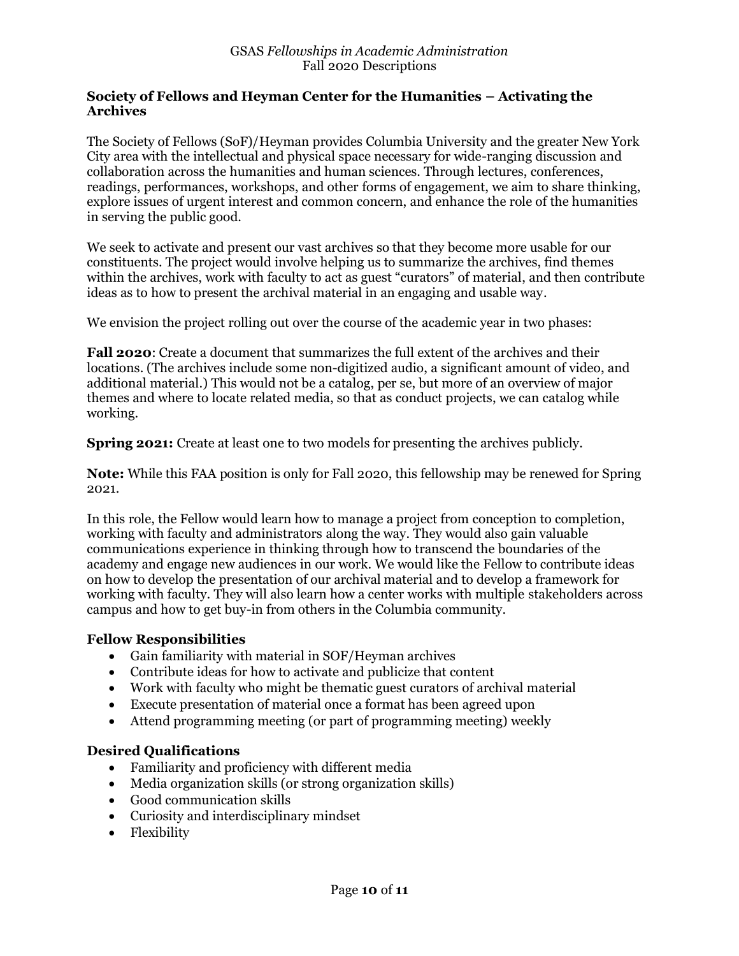### **Society of Fellows and Heyman Center for the Humanities – Activating the Archives**

The Society of Fellows (SoF)/Heyman provides Columbia University and the greater New York City area with the intellectual and physical space necessary for wide-ranging discussion and collaboration across the humanities and human sciences. Through lectures, conferences, readings, performances, workshops, and other forms of engagement, we aim to share thinking, explore issues of urgent interest and common concern, and enhance the role of the humanities in serving the public good.

We seek to activate and present our vast archives so that they become more usable for our constituents. The project would involve helping us to summarize the archives, find themes within the archives, work with faculty to act as guest "curators" of material, and then contribute ideas as to how to present the archival material in an engaging and usable way.

We envision the project rolling out over the course of the academic year in two phases:

**Fall 2020**: Create a document that summarizes the full extent of the archives and their locations. (The archives include some non-digitized audio, a significant amount of video, and additional material.) This would not be a catalog, per se, but more of an overview of major themes and where to locate related media, so that as conduct projects, we can catalog while working.

**Spring 2021:** Create at least one to two models for presenting the archives publicly.

**Note:** While this FAA position is only for Fall 2020, this fellowship may be renewed for Spring 2021.

In this role, the Fellow would learn how to manage a project from conception to completion, working with faculty and administrators along the way. They would also gain valuable communications experience in thinking through how to transcend the boundaries of the academy and engage new audiences in our work. We would like the Fellow to contribute ideas on how to develop the presentation of our archival material and to develop a framework for working with faculty. They will also learn how a center works with multiple stakeholders across campus and how to get buy-in from others in the Columbia community.

### **Fellow Responsibilities**

- Gain familiarity with material in SOF/Heyman archives
- Contribute ideas for how to activate and publicize that content
- Work with faculty who might be thematic guest curators of archival material
- Execute presentation of material once a format has been agreed upon
- Attend programming meeting (or part of programming meeting) weekly

### **Desired Qualifications**

- Familiarity and proficiency with different media
- Media organization skills (or strong organization skills)
- Good communication skills
- Curiosity and interdisciplinary mindset
- Flexibility